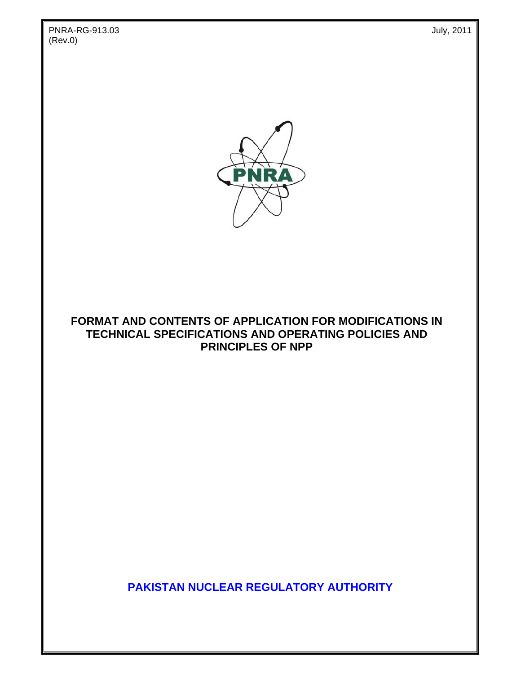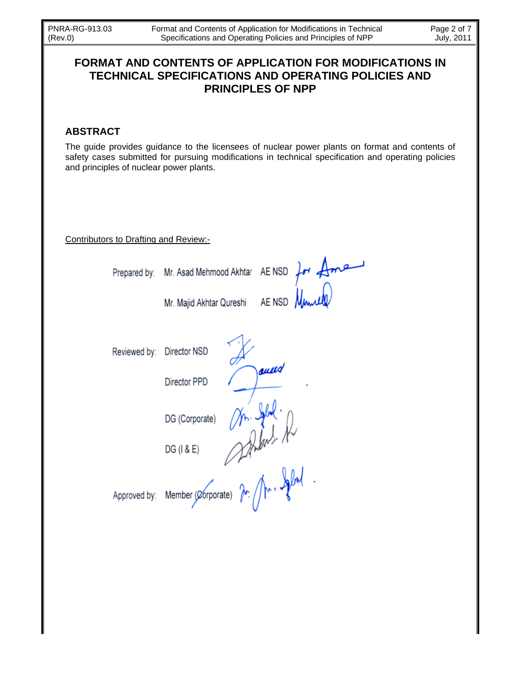## FORMAT AND CONTENTS OF APPLICATION FOR MODIFICATIONS IN **TECHNICAL SPECIFICATIONS AND OPERATING POLICIES AND PRINCIPLES OF NPP**

## **ABSTRACT**

The guide provides guidance to the licensees of nuclear power plants on format and contents of safety cases submitted for pursuing modifications in technical specification and operating policies and principles of nuclear power plants.

AE NSD

aull

 $4 \text{Area}$ 

Contributors to Drafting and Review:-

Prepared by:

Mr. Majid Akhtar Qureshi

Mr. Asad Mehmood Akhtar AE NSD

Reviewed by: Director NSD

Director PPD

DG (Corporate)

Approved by:

Member (Corporate) for for. If fall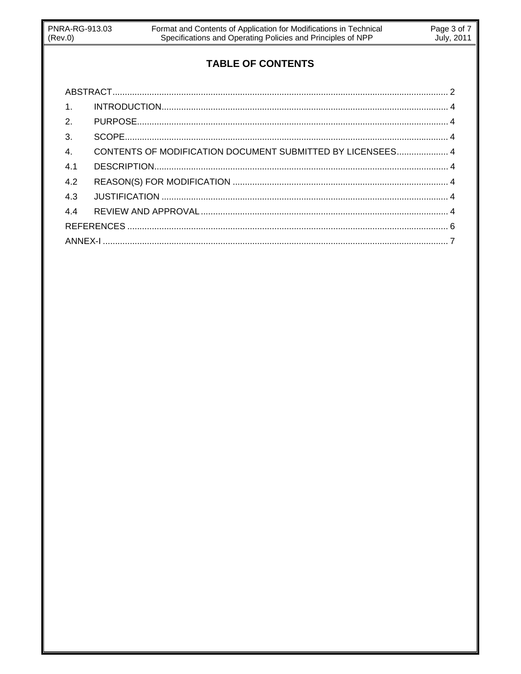# **TABLE OF CONTENTS**

| 1.               |                                                            |  |
|------------------|------------------------------------------------------------|--|
| 2.               |                                                            |  |
| 3.               |                                                            |  |
| $\overline{4}$ . | CONTENTS OF MODIFICATION DOCUMENT SUBMITTED BY LICENSEES 4 |  |
| 4.1              |                                                            |  |
| 4.2              |                                                            |  |
| 4.3              |                                                            |  |
| 4.4              |                                                            |  |
|                  |                                                            |  |
|                  |                                                            |  |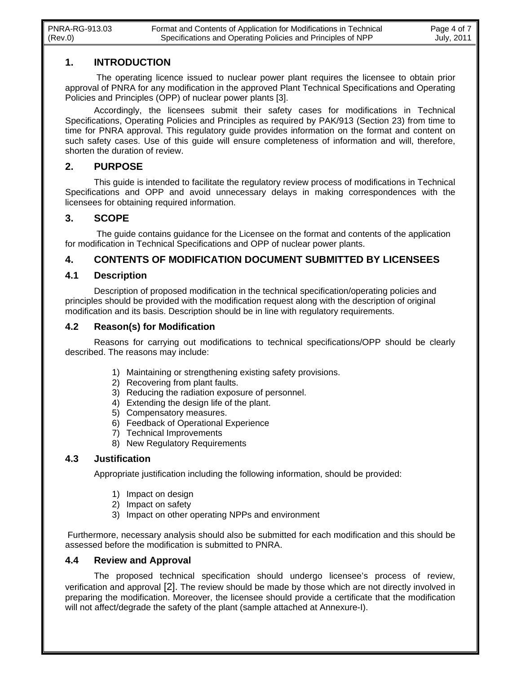#### **1. INTRODUCTION**

 The operating licence issued to nuclear power plant requires the licensee to obtain prior approval of PNRA for any modification in the approved Plant Technical Specifications and Operating Policies and Principles (OPP) of nuclear power plants [3].

Accordingly, the licensees submit their safety cases for modifications in Technical Specifications, Operating Policies and Principles as required by PAK/913 (Section 23) from time to time for PNRA approval. This regulatory guide provides information on the format and content on such safety cases. Use of this guide will ensure completeness of information and will, therefore, shorten the duration of review.

#### **2. PURPOSE**

This guide is intended to facilitate the regulatory review process of modifications in Technical Specifications and OPP and avoid unnecessary delays in making correspondences with the licensees for obtaining required information.

#### **3. SCOPE**

The guide contains guidance for the Licensee on the format and contents of the application for modification in Technical Specifications and OPP of nuclear power plants.

#### **4. CONTENTS OF MODIFICATION DOCUMENT SUBMITTED BY LICENSEES**

#### **4.1 Description**

Description of proposed modification in the technical specification/operating policies and principles should be provided with the modification request along with the description of original modification and its basis. Description should be in line with regulatory requirements.

#### **4.2 Reason(s) for Modification**

Reasons for carrying out modifications to technical specifications/OPP should be clearly described. The reasons may include:

- 1) Maintaining or strengthening existing safety provisions.
- 2) Recovering from plant faults.
- 3) Reducing the radiation exposure of personnel.
- 4) Extending the design life of the plant.
- 5) Compensatory measures.
- 6) Feedback of Operational Experience
- 7) Technical Improvements
- 8) New Regulatory Requirements

#### **4.3 Justification**

Appropriate justification including the following information, should be provided:

- 1) Impact on design
- 2) Impact on safety
- 3) Impact on other operating NPPs and environment

 Furthermore, necessary analysis should also be submitted for each modification and this should be assessed before the modification is submitted to PNRA.

#### **4.4 Review and Approval**

 The proposed technical specification should undergo licensee's process of review, verification and approval [2]. The review should be made by those which are not directly involved in preparing the modification. Moreover, the licensee should provide a certificate that the modification will not affect/degrade the safety of the plant (sample attached at Annexure-I).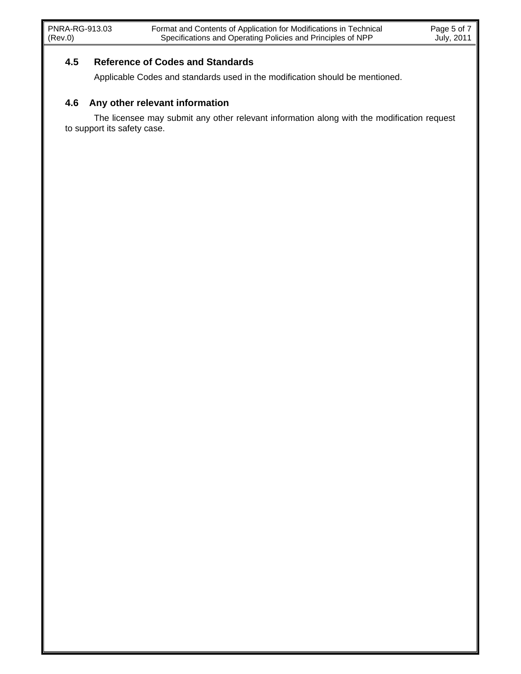#### **4.5 Reference of Codes and Standards**

Applicable Codes and standards used in the modification should be mentioned.

### **4.6 Any other relevant information**

The licensee may submit any other relevant information along with the modification request to support its safety case.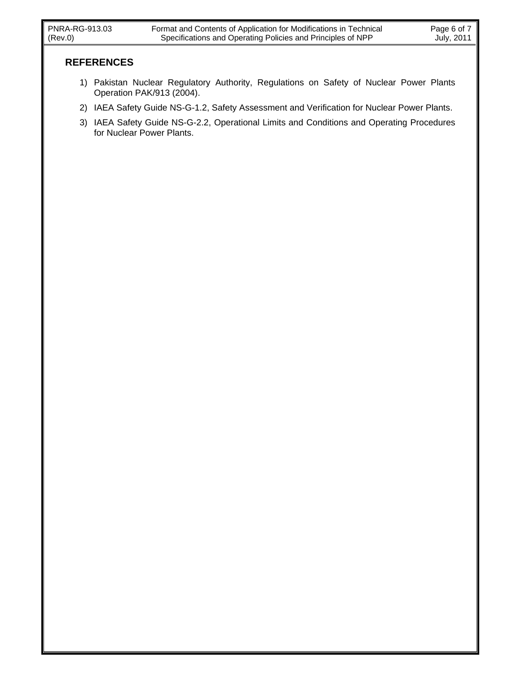- 1) Pakistan Nuclear Regulatory Authority, Regulations on Safety of Nuclear Power Plants Operation PAK/913 (2004).
- 2) IAEA Safety Guide NS-G-1.2, Safety Assessment and Verification for Nuclear Power Plants.
- 3) IAEA Safety Guide NS-G-2.2, Operational Limits and Conditions and Operating Procedures for Nuclear Power Plants.